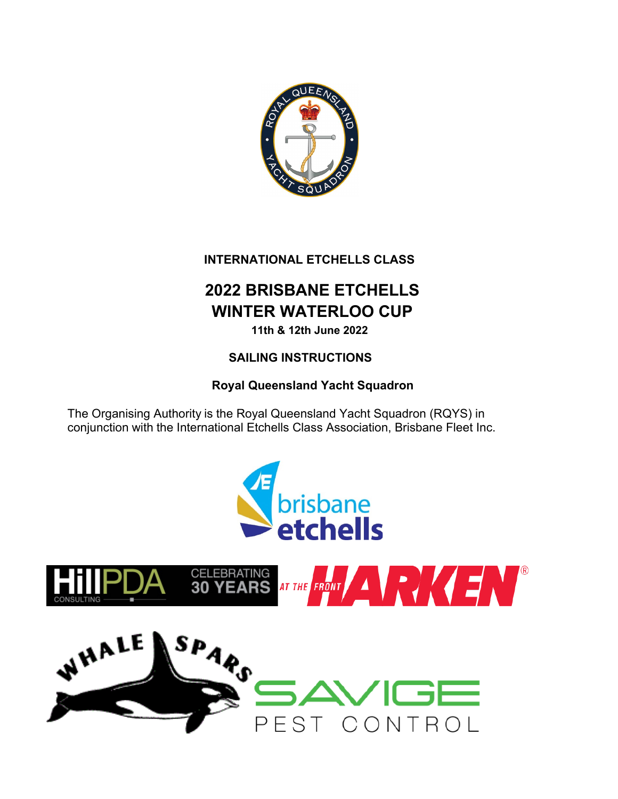

# **INTERNATIONAL ETCHELLS CLASS**

# **2022 BRISBANE ETCHELLS WINTER WATERLOO CUP**

**11th & 12th June 2022**

# **SAILING INSTRUCTIONS**

# **Royal Queensland Yacht Squadron**

The Organising Authority is the Royal Queensland Yacht Squadron (RQYS) in conjunction with the International Etchells Class Association, Brisbane Fleet Inc.



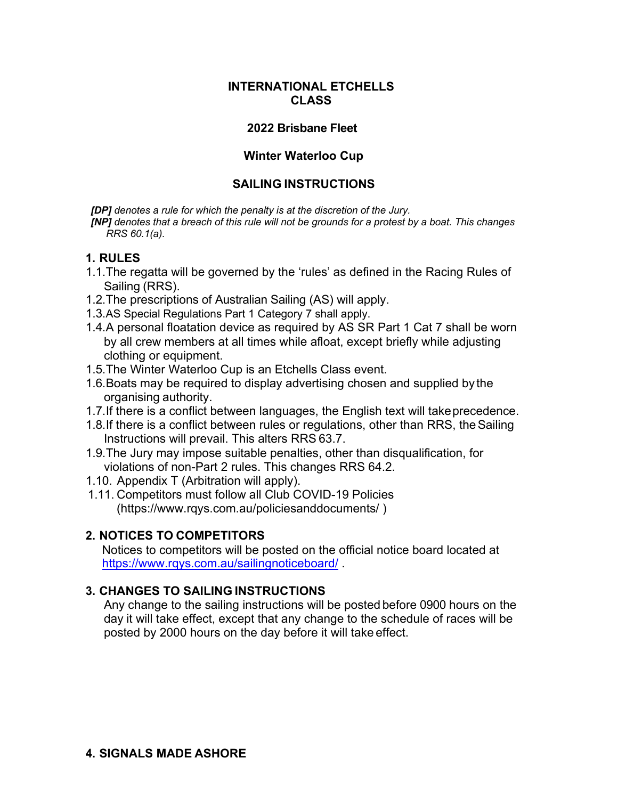#### **INTERNATIONAL ETCHELLS CLASS**

#### **2022 Brisbane Fleet**

#### **Winter Waterloo Cup**

#### **SAILING INSTRUCTIONS**

*[DP] denotes a rule for which the penalty is at the discretion of the Jury.*

*[NP] denotes that a breach of this rule will not be grounds for a protest by a boat. This changes RRS 60.1(a).* 

#### **1. RULES**

- 1.1.The regatta will be governed by the 'rules' as defined in the Racing Rules of Sailing (RRS).
- 1.2.The prescriptions of Australian Sailing (AS) will apply.
- 1.3.AS Special Regulations Part 1 Category 7 shall apply.
- 1.4.A personal floatation device as required by AS SR Part 1 Cat 7 shall be worn by all crew members at all times while afloat, except briefly while adjusting clothing or equipment.
- 1.5.The Winter Waterloo Cup is an Etchells Class event.
- 1.6.Boats may be required to display advertising chosen and supplied by the organising authority.
- 1.7.If there is a conflict between languages, the English text will takeprecedence.
- 1.8.If there is a conflict between rules or regulations, other than RRS, theSailing Instructions will prevail. This alters RRS 63.7.
- 1.9.The Jury may impose suitable penalties, other than disqualification, for violations of non-Part 2 rules. This changes RRS 64.2.
- 1.10. Appendix T (Arbitration will apply).
- 1.11. Competitors must follow all Club COVID-19 Policies (https://www.rqys.com.au/policiesanddocuments/ )

#### **2. NOTICES TO COMPETITORS**

Notices to competitors will be posted on the official notice board located at https://www.rqys.com.au/sailingnoticeboard/ .

## **3. CHANGES TO SAILING INSTRUCTIONS**

Any change to the sailing instructions will be posted before 0900 hours on the day it will take effect, except that any change to the schedule of races will be posted by 2000 hours on the day before it will take effect.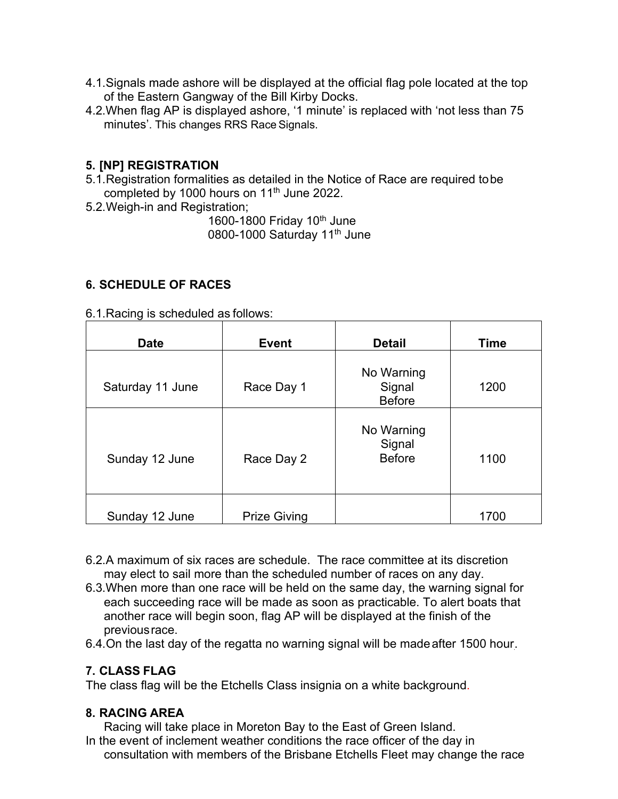- 4.1.Signals made ashore will be displayed at the official flag pole located at the top of the Eastern Gangway of the Bill Kirby Docks.
- 4.2.When flag AP is displayed ashore, '1 minute' is replaced with 'not less than 75 minutes'. This changes RRS Race Signals.

#### **5. [NP] REGISTRATION**

- 5.1.Registration formalities as detailed in the Notice of Race are required tobe completed by 1000 hours on 11<sup>th</sup> June 2022.
- 5.2.Weigh-in and Registration;

1600-1800 Friday 10<sup>th</sup> June 0800-1000 Saturday 11<sup>th</sup> June

#### **6. SCHEDULE OF RACES**

| 6.1. Racing is scheduled as follows: |
|--------------------------------------|
|--------------------------------------|

| <b>Date</b>      | <b>Event</b>        | <b>Detail</b>                         | <b>Time</b> |
|------------------|---------------------|---------------------------------------|-------------|
| Saturday 11 June | Race Day 1          | No Warning<br>Signal<br><b>Before</b> | 1200        |
| Sunday 12 June   | Race Day 2          | No Warning<br>Signal<br><b>Before</b> | 1100        |
| Sunday 12 June   | <b>Prize Giving</b> |                                       | 1700        |

- 6.2.A maximum of six races are schedule. The race committee at its discretion may elect to sail more than the scheduled number of races on any day.
- 6.3.When more than one race will be held on the same day, the warning signal for each succeeding race will be made as soon as practicable. To alert boats that another race will begin soon, flag AP will be displayed at the finish of the previousrace.
- 6.4.On the last day of the regatta no warning signal will be madeafter 1500 hour.

#### **7. CLASS FLAG**

The class flag will be the Etchells Class insignia on a white background.

#### **8. RACING AREA**

Racing will take place in Moreton Bay to the East of Green Island.

In the event of inclement weather conditions the race officer of the day in consultation with members of the Brisbane Etchells Fleet may change the race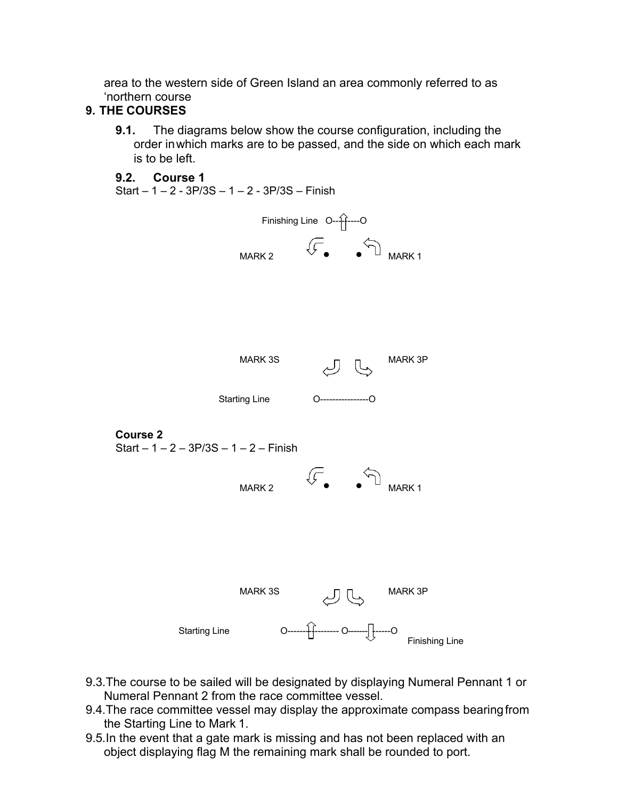area to the western side of Green Island an area commonly referred to as 'northern course

### **9. THE COURSES**

**9.1.** The diagrams below show the course configuration, including the order inwhich marks are to be passed, and the side on which each mark is to be left.

#### **9.2. Course 1**

Start – 1 – 2 - 3P/3S – 1 – 2 - 3P/3S – Finish



- 9.3.The course to be sailed will be designated by displaying Numeral Pennant 1 or Numeral Pennant 2 from the race committee vessel.
- 9.4.The race committee vessel may display the approximate compass bearingfrom the Starting Line to Mark 1.
- 9.5.In the event that a gate mark is missing and has not been replaced with an object displaying flag M the remaining mark shall be rounded to port.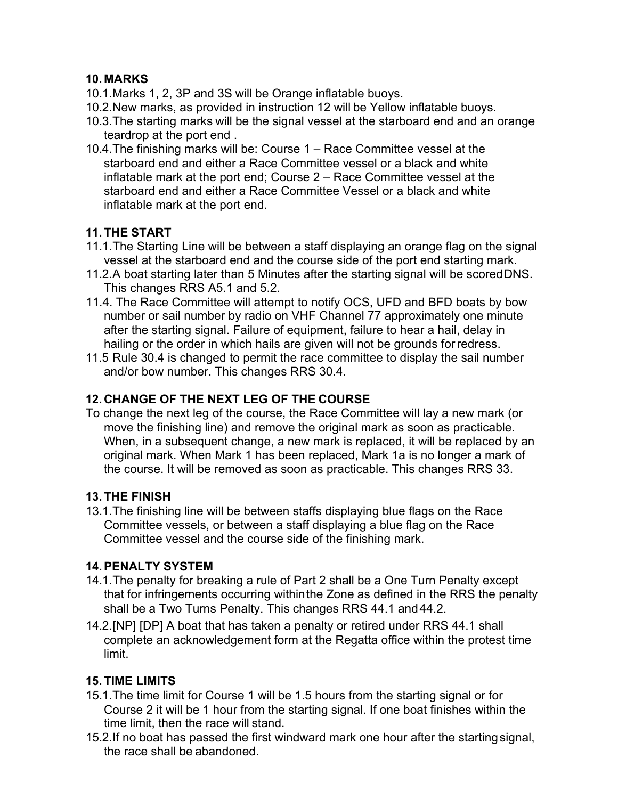# **10. MARKS**

- 10.1.Marks 1, 2, 3P and 3S will be Orange inflatable buoys.
- 10.2.New marks, as provided in instruction 12 will be Yellow inflatable buoys.
- 10.3.The starting marks will be the signal vessel at the starboard end and an orange teardrop at the port end .
- 10.4.The finishing marks will be: Course 1 Race Committee vessel at the starboard end and either a Race Committee vessel or a black and white inflatable mark at the port end; Course 2 – Race Committee vessel at the starboard end and either a Race Committee Vessel or a black and white inflatable mark at the port end.

## **11. THE START**

- 11.1.The Starting Line will be between a staff displaying an orange flag on the signal vessel at the starboard end and the course side of the port end starting mark.
- 11.2.A boat starting later than 5 Minutes after the starting signal will be scoredDNS. This changes RRS A5.1 and 5.2.
- 11.4. The Race Committee will attempt to notify OCS, UFD and BFD boats by bow number or sail number by radio on VHF Channel 77 approximately one minute after the starting signal. Failure of equipment, failure to hear a hail, delay in hailing or the order in which hails are given will not be grounds forredress.
- 11.5 Rule 30.4 is changed to permit the race committee to display the sail number and/or bow number. This changes RRS 30.4.

## **12. CHANGE OF THE NEXT LEG OF THE COURSE**

To change the next leg of the course, the Race Committee will lay a new mark (or move the finishing line) and remove the original mark as soon as practicable. When, in a subsequent change, a new mark is replaced, it will be replaced by an original mark. When Mark 1 has been replaced, Mark 1a is no longer a mark of the course. It will be removed as soon as practicable. This changes RRS 33.

## **13. THE FINISH**

13.1.The finishing line will be between staffs displaying blue flags on the Race Committee vessels, or between a staff displaying a blue flag on the Race Committee vessel and the course side of the finishing mark.

## **14.PENALTY SYSTEM**

- 14.1.The penalty for breaking a rule of Part 2 shall be a One Turn Penalty except that for infringements occurring withinthe Zone as defined in the RRS the penalty shall be a Two Turns Penalty. This changes RRS 44.1 and 44.2.
- 14.2.[NP] [DP] A boat that has taken a penalty or retired under RRS 44.1 shall complete an acknowledgement form at the Regatta office within the protest time limit.

## **15. TIME LIMITS**

- 15.1.The time limit for Course 1 will be 1.5 hours from the starting signal or for Course 2 it will be 1 hour from the starting signal. If one boat finishes within the time limit, then the race will stand.
- 15.2.If no boat has passed the first windward mark one hour after the startingsignal, the race shall be abandoned.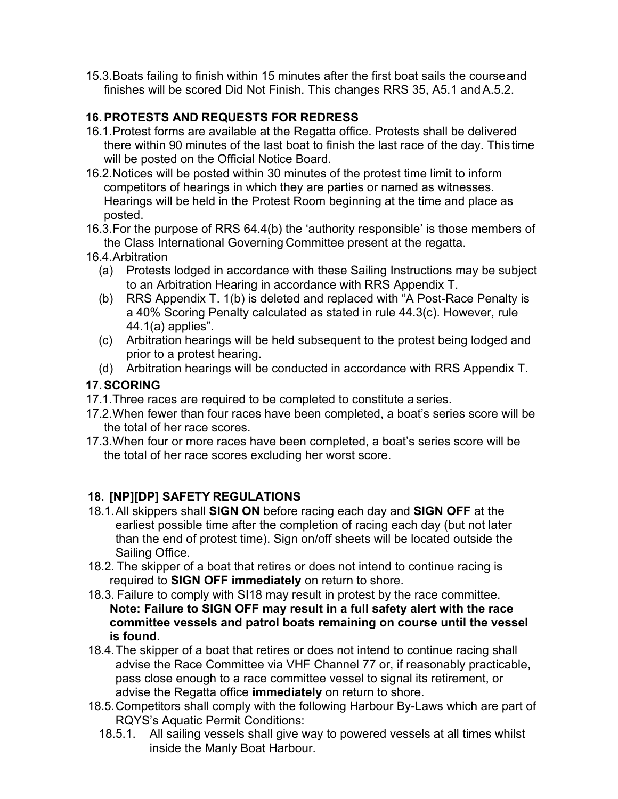15.3.Boats failing to finish within 15 minutes after the first boat sails the courseand finishes will be scored Did Not Finish. This changes RRS 35, A5.1 andA.5.2.

#### **16.PROTESTS AND REQUESTS FOR REDRESS**

- 16.1.Protest forms are available at the Regatta office. Protests shall be delivered there within 90 minutes of the last boat to finish the last race of the day. Thistime will be posted on the Official Notice Board.
- 16.2.Notices will be posted within 30 minutes of the protest time limit to inform competitors of hearings in which they are parties or named as witnesses. Hearings will be held in the Protest Room beginning at the time and place as posted.
- 16.3.For the purpose of RRS 64.4(b) the 'authority responsible' is those members of the Class International Governing Committee present at the regatta.
- 16.4.Arbitration
	- (a) Protests lodged in accordance with these Sailing Instructions may be subject to an Arbitration Hearing in accordance with RRS Appendix T.
	- (b) RRS Appendix T. 1(b) is deleted and replaced with "A Post-Race Penalty is a 40% Scoring Penalty calculated as stated in rule 44.3(c). However, rule 44.1(a) applies".
	- (c) Arbitration hearings will be held subsequent to the protest being lodged and prior to a protest hearing.
	- (d) Arbitration hearings will be conducted in accordance with RRS Appendix T.

## **17.SCORING**

- 17.1.Three races are required to be completed to constitute a series.
- 17.2.When fewer than four races have been completed, a boat's series score will be the total of her race scores.
- 17.3.When four or more races have been completed, a boat's series score will be the total of her race scores excluding her worst score.

# **18. [NP][DP] SAFETY REGULATIONS**

- 18.1.All skippers shall **SIGN ON** before racing each day and **SIGN OFF** at the earliest possible time after the completion of racing each day (but not later than the end of protest time). Sign on/off sheets will be located outside the Sailing Office.
- 18.2. The skipper of a boat that retires or does not intend to continue racing is required to **SIGN OFF immediately** on return to shore.
- 18.3. Failure to comply with SI18 may result in protest by the race committee. **Note: Failure to SIGN OFF may result in a full safety alert with the race committee vessels and patrol boats remaining on course until the vessel is found.**
- 18.4.The skipper of a boat that retires or does not intend to continue racing shall advise the Race Committee via VHF Channel 77 or, if reasonably practicable, pass close enough to a race committee vessel to signal its retirement, or advise the Regatta office **immediately** on return to shore.
- 18.5.Competitors shall comply with the following Harbour By-Laws which are part of RQYS's Aquatic Permit Conditions:
	- 18.5.1. All sailing vessels shall give way to powered vessels at all times whilst inside the Manly Boat Harbour.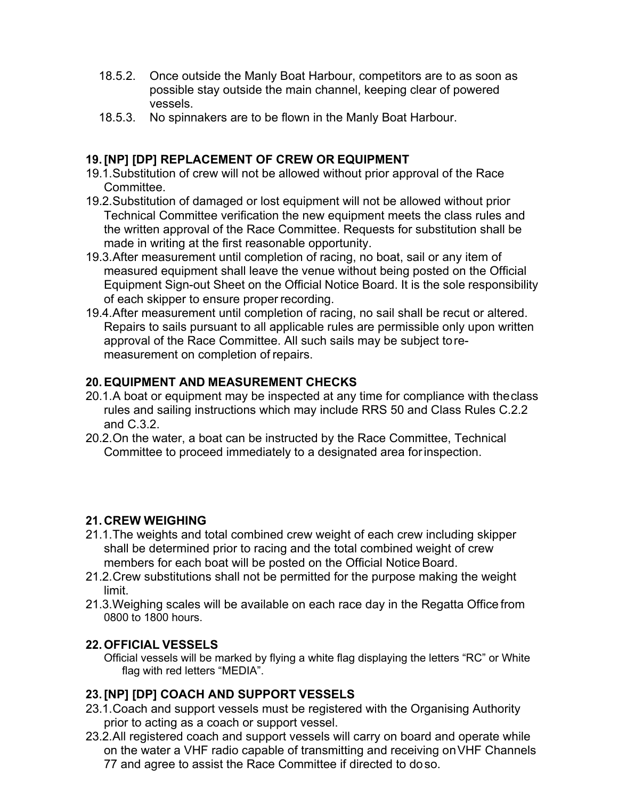- 18.5.2. Once outside the Manly Boat Harbour, competitors are to as soon as possible stay outside the main channel, keeping clear of powered vessels.
- 18.5.3. No spinnakers are to be flown in the Manly Boat Harbour.

## **19.[NP] [DP] REPLACEMENT OF CREW OR EQUIPMENT**

- 19.1.Substitution of crew will not be allowed without prior approval of the Race Committee.
- 19.2.Substitution of damaged or lost equipment will not be allowed without prior Technical Committee verification the new equipment meets the class rules and the written approval of the Race Committee. Requests for substitution shall be made in writing at the first reasonable opportunity.
- 19.3.After measurement until completion of racing, no boat, sail or any item of measured equipment shall leave the venue without being posted on the Official Equipment Sign-out Sheet on the Official Notice Board. It is the sole responsibility of each skipper to ensure proper recording.
- 19.4.After measurement until completion of racing, no sail shall be recut or altered. Repairs to sails pursuant to all applicable rules are permissible only upon written approval of the Race Committee. All such sails may be subject toremeasurement on completion of repairs.

## **20.EQUIPMENT AND MEASUREMENT CHECKS**

- 20.1.A boat or equipment may be inspected at any time for compliance with theclass rules and sailing instructions which may include RRS 50 and Class Rules C.2.2 and C.3.2.
- 20.2.On the water, a boat can be instructed by the Race Committee, Technical Committee to proceed immediately to a designated area forinspection.

## **21. CREW WEIGHING**

- 21.1.The weights and total combined crew weight of each crew including skipper shall be determined prior to racing and the total combined weight of crew members for each boat will be posted on the Official Notice Board.
- 21.2.Crew substitutions shall not be permitted for the purpose making the weight limit.
- 21.3.Weighing scales will be available on each race day in the Regatta Office from 0800 to 1800 hours.

# **22.OFFICIAL VESSELS**

Official vessels will be marked by flying a white flag displaying the letters "RC" or White flag with red letters "MEDIA".

# **23.[NP] [DP] COACH AND SUPPORT VESSELS**

- 23.1.Coach and support vessels must be registered with the Organising Authority prior to acting as a coach or support vessel.
- 23.2.All registered coach and support vessels will carry on board and operate while on the water a VHF radio capable of transmitting and receiving onVHF Channels 77 and agree to assist the Race Committee if directed to doso.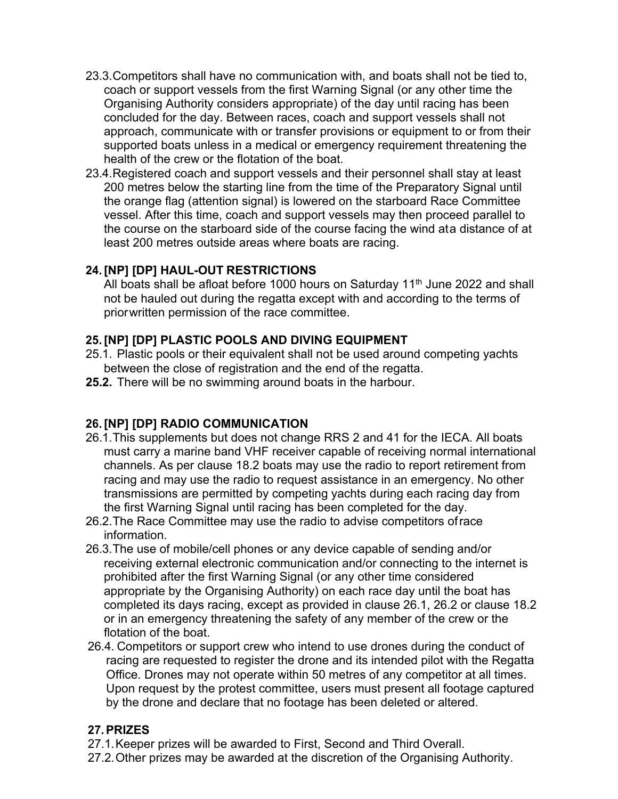- 23.3.Competitors shall have no communication with, and boats shall not be tied to, coach or support vessels from the first Warning Signal (or any other time the Organising Authority considers appropriate) of the day until racing has been concluded for the day. Between races, coach and support vessels shall not approach, communicate with or transfer provisions or equipment to or from their supported boats unless in a medical or emergency requirement threatening the health of the crew or the flotation of the boat.
- 23.4.Registered coach and support vessels and their personnel shall stay at least 200 metres below the starting line from the time of the Preparatory Signal until the orange flag (attention signal) is lowered on the starboard Race Committee vessel. After this time, coach and support vessels may then proceed parallel to the course on the starboard side of the course facing the wind ata distance of at least 200 metres outside areas where boats are racing.

## **24.[NP] [DP] HAUL-OUT RESTRICTIONS**

All boats shall be afloat before 1000 hours on Saturday 11<sup>th</sup> June 2022 and shall not be hauled out during the regatta except with and according to the terms of priorwritten permission of the race committee.

#### **25.[NP] [DP] PLASTIC POOLS AND DIVING EQUIPMENT**

- 25.1. Plastic pools or their equivalent shall not be used around competing yachts between the close of registration and the end of the regatta.
- **25.2.** There will be no swimming around boats in the harbour.

#### **26.[NP] [DP] RADIO COMMUNICATION**

- 26.1.This supplements but does not change RRS 2 and 41 for the IECA. All boats must carry a marine band VHF receiver capable of receiving normal international channels. As per clause 18.2 boats may use the radio to report retirement from racing and may use the radio to request assistance in an emergency. No other transmissions are permitted by competing yachts during each racing day from the first Warning Signal until racing has been completed for the day.
- 26.2.The Race Committee may use the radio to advise competitors ofrace information.
- 26.3.The use of mobile/cell phones or any device capable of sending and/or receiving external electronic communication and/or connecting to the internet is prohibited after the first Warning Signal (or any other time considered appropriate by the Organising Authority) on each race day until the boat has completed its days racing, except as provided in clause 26.1, 26.2 or clause 18.2 or in an emergency threatening the safety of any member of the crew or the flotation of the boat.
- 26.4. Competitors or support crew who intend to use drones during the conduct of racing are requested to register the drone and its intended pilot with the Regatta Office. Drones may not operate within 50 metres of any competitor at all times. Upon request by the protest committee, users must present all footage captured by the drone and declare that no footage has been deleted or altered.

#### **27.PRIZES**

- 27.1.Keeper prizes will be awarded to First, Second and Third Overall.
- 27.2.Other prizes may be awarded at the discretion of the Organising Authority.